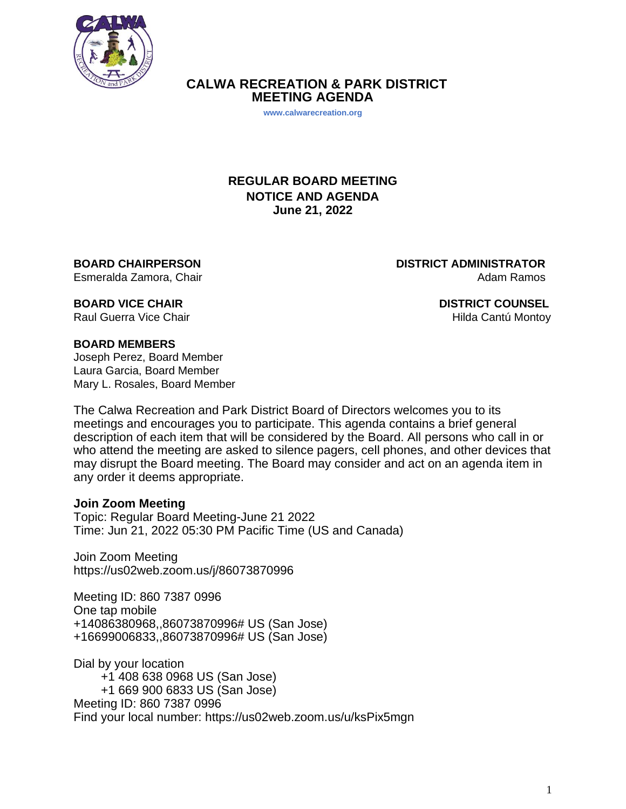

 **CALWA RECREATION & PARK DISTRICT MEETING AGENDA**

**www.calwarecreation.org**

## **REGULAR BOARD MEETING NOTICE AND AGENDA June 21, 2022**

**BOARD CHAIRPERSON DISTRICT ADMINISTRATOR** Esmeralda Zamora, Chair Adam Ramos

**BOARD VICE CHAIR COUNSEL SOME OF A SEXUAL COUNSEL COUNSEL** Raul Guerra Vice Chair **Hilda Cantú Montoy Raul Guerra Vice Chair** 

#### **BOARD MEMBERS**

Joseph Perez, Board Member Laura Garcia, Board Member Mary L. Rosales, Board Member

The Calwa Recreation and Park District Board of Directors welcomes you to its meetings and encourages you to participate. This agenda contains a brief general description of each item that will be considered by the Board. All persons who call in or who attend the meeting are asked to silence pagers, cell phones, and other devices that may disrupt the Board meeting. The Board may consider and act on an agenda item in any order it deems appropriate.

#### **Join Zoom Meeting**

Topic: Regular Board Meeting-June 21 2022 Time: Jun 21, 2022 05:30 PM Pacific Time (US and Canada)

Join Zoom Meeting https://us02web.zoom.us/j/86073870996

Meeting ID: 860 7387 0996 One tap mobile +14086380968,,86073870996# US (San Jose) +16699006833,,86073870996# US (San Jose)

Dial by your location +1 408 638 0968 US (San Jose) +1 669 900 6833 US (San Jose) Meeting ID: 860 7387 0996

Find your local number: https://us02web.zoom.us/u/ksPix5mgn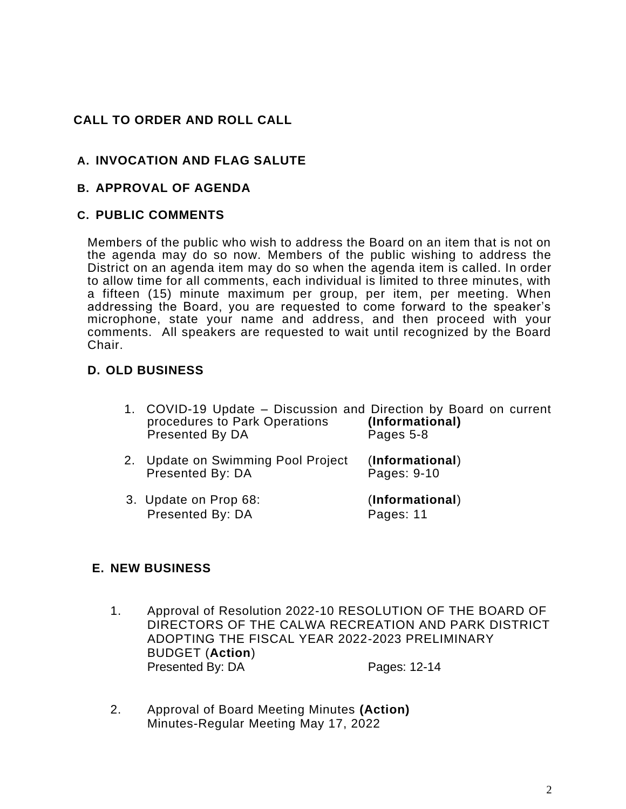# **CALL TO ORDER AND ROLL CALL**

# **A. INVOCATION AND FLAG SALUTE**

### **B. APPROVAL OF AGENDA**

#### **C. PUBLIC COMMENTS**

Members of the public who wish to address the Board on an item that is not on the agenda may do so now. Members of the public wishing to address the District on an agenda item may do so when the agenda item is called. In order to allow time for all comments, each individual is limited to three minutes, with a fifteen (15) minute maximum per group, per item, per meeting. When addressing the Board, you are requested to come forward to the speaker's microphone, state your name and address, and then proceed with your comments. All speakers are requested to wait until recognized by the Board Chair.

## **D. OLD BUSINESS**

- 1. COVID-19 Update Discussion and Direction by Board on current procedures to Park Operations (Informational) procedures to Park Operations **(Informational)** Presented By DA Pages 5-8
- 2. Update on Swimming Pool Project (**Informational**) Presented By: DA
- 3. Update on Prop 68: (**Informational**) Presented By: DA Pages: 11

### **E. NEW BUSINESS**

- 1. Approval of Resolution 2022-10 RESOLUTION OF THE BOARD OF DIRECTORS OF THE CALWA RECREATION AND PARK DISTRICT ADOPTING THE FISCAL YEAR 2022-2023 PRELIMINARY BUDGET (**Action**) Presented By: DA Pages: 12-14
- 2. Approval of Board Meeting Minutes **(Action)** Minutes-Regular Meeting May 17, 2022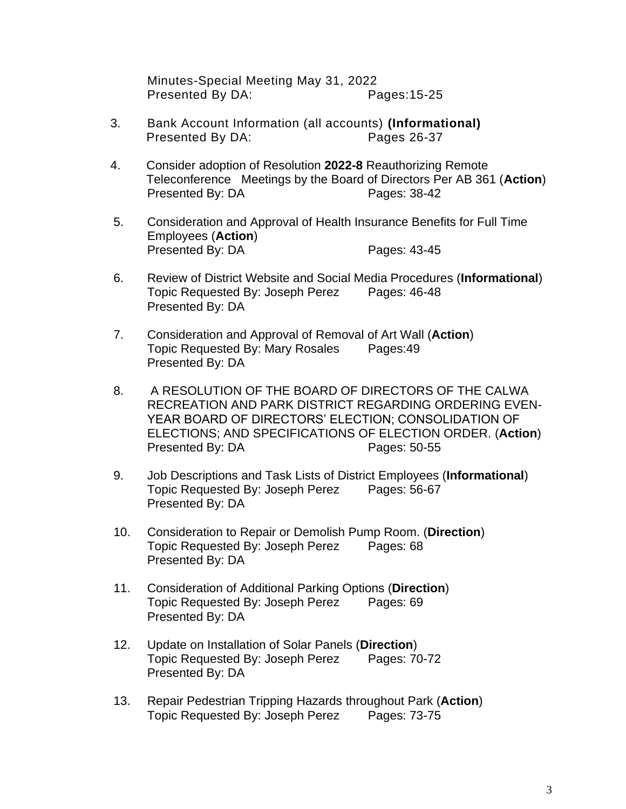Minutes-Special Meeting May 31, 2022 Presented By DA: Pages:15-25

- 3. Bank Account Information (all accounts) **(Informational)**  Presented By DA: Pages 26-37
- 4. Consider adoption of Resolution **2022-8** Reauthorizing Remote Teleconference Meetings by the Board of Directors Per AB 361 (**Action**) Presented By: DA Pages: 38-42
- 5. Consideration and Approval of Health Insurance Benefits for Full Time Employees (**Action**) Presented By: DA Pages: 43-45
- 6. Review of District Website and Social Media Procedures (**Informational**) Topic Requested By: Joseph Perez Pages: 46-48 Presented By: DA
- 7. Consideration and Approval of Removal of Art Wall (**Action**) Topic Requested By: Mary Rosales Pages:49 Presented By: DA
- 8. A RESOLUTION OF THE BOARD OF DIRECTORS OF THE CALWA RECREATION AND PARK DISTRICT REGARDING ORDERING EVEN-YEAR BOARD OF DIRECTORS' ELECTION; CONSOLIDATION OF ELECTIONS; AND SPECIFICATIONS OF ELECTION ORDER. (**Action**) Presented By: DA Pages: 50-55
- 9. Job Descriptions and Task Lists of District Employees (**Informational**) Topic Requested By: Joseph Perez Pages: 56-67 Presented By: DA
- 10. Consideration to Repair or Demolish Pump Room. (**Direction**) Topic Requested By: Joseph Perez Pages: 68 Presented By: DA
- 11. Consideration of Additional Parking Options (**Direction**) Topic Requested By: Joseph Perez Pages: 69 Presented By: DA
- 12. Update on Installation of Solar Panels (**Direction**) Topic Requested By: Joseph Perez Pages: 70-72 Presented By: DA
- 13. Repair Pedestrian Tripping Hazards throughout Park (**Action**) Topic Requested By: Joseph Perez Pages: 73-75